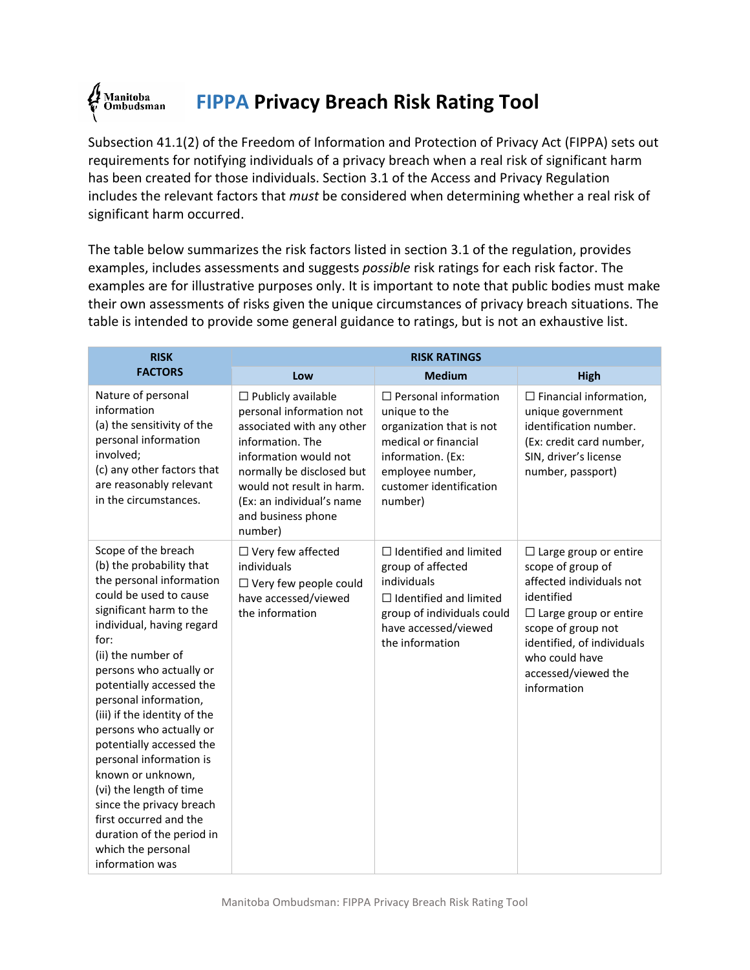## Manitoba<br>Ombudsman **FIPPA Privacy Breach Risk Rating Tool**

Subsection 41.1(2) of the Freedom of Information and Protection of Privacy Act (FIPPA) sets out requirements for notifying individuals of a privacy breach when a real risk of significant harm has been created for those individuals. Section 3.1 of the Access and Privacy Regulation includes the relevant factors that *must* be considered when determining whether a real risk of significant harm occurred.

The table below summarizes the risk factors listed in section 3.1 of the regulation, provides examples, includes assessments and suggests *possible* risk ratings for each risk factor. The examples are for illustrative purposes only. It is important to note that public bodies must make their own assessments of risks given the unique circumstances of privacy breach situations. The table is intended to provide some general guidance to ratings, but is not an exhaustive list.

| <b>RISK</b>                                                                                                                                                                                                                                                                                                                                                                                                                                                                                                                                                               | <b>RISK RATINGS</b>                                                                                                                                                                                                                                     |                                                                                                                                                                                 |                                                                                                                                                                                                                                         |  |
|---------------------------------------------------------------------------------------------------------------------------------------------------------------------------------------------------------------------------------------------------------------------------------------------------------------------------------------------------------------------------------------------------------------------------------------------------------------------------------------------------------------------------------------------------------------------------|---------------------------------------------------------------------------------------------------------------------------------------------------------------------------------------------------------------------------------------------------------|---------------------------------------------------------------------------------------------------------------------------------------------------------------------------------|-----------------------------------------------------------------------------------------------------------------------------------------------------------------------------------------------------------------------------------------|--|
| <b>FACTORS</b>                                                                                                                                                                                                                                                                                                                                                                                                                                                                                                                                                            | Low                                                                                                                                                                                                                                                     | <b>Medium</b>                                                                                                                                                                   | <b>High</b>                                                                                                                                                                                                                             |  |
| Nature of personal<br>information<br>(a) the sensitivity of the<br>personal information<br>involved;<br>(c) any other factors that<br>are reasonably relevant<br>in the circumstances.                                                                                                                                                                                                                                                                                                                                                                                    | $\Box$ Publicly available<br>personal information not<br>associated with any other<br>information. The<br>information would not<br>normally be disclosed but<br>would not result in harm.<br>(Ex: an individual's name<br>and business phone<br>number) | $\Box$ Personal information<br>unique to the<br>organization that is not<br>medical or financial<br>information. (Ex:<br>employee number,<br>customer identification<br>number) | $\Box$ Financial information,<br>unique government<br>identification number.<br>(Ex: credit card number,<br>SIN, driver's license<br>number, passport)                                                                                  |  |
| Scope of the breach<br>(b) the probability that<br>the personal information<br>could be used to cause<br>significant harm to the<br>individual, having regard<br>for:<br>(ii) the number of<br>persons who actually or<br>potentially accessed the<br>personal information,<br>(iii) if the identity of the<br>persons who actually or<br>potentially accessed the<br>personal information is<br>known or unknown,<br>(vi) the length of time<br>since the privacy breach<br>first occurred and the<br>duration of the period in<br>which the personal<br>information was | $\Box$ Very few affected<br>individuals<br>$\Box$ Very few people could<br>have accessed/viewed<br>the information                                                                                                                                      | $\Box$ Identified and limited<br>group of affected<br>individuals<br>$\Box$ Identified and limited<br>group of individuals could<br>have accessed/viewed<br>the information     | $\Box$ Large group or entire<br>scope of group of<br>affected individuals not<br>identified<br>$\Box$ Large group or entire<br>scope of group not<br>identified, of individuals<br>who could have<br>accessed/viewed the<br>information |  |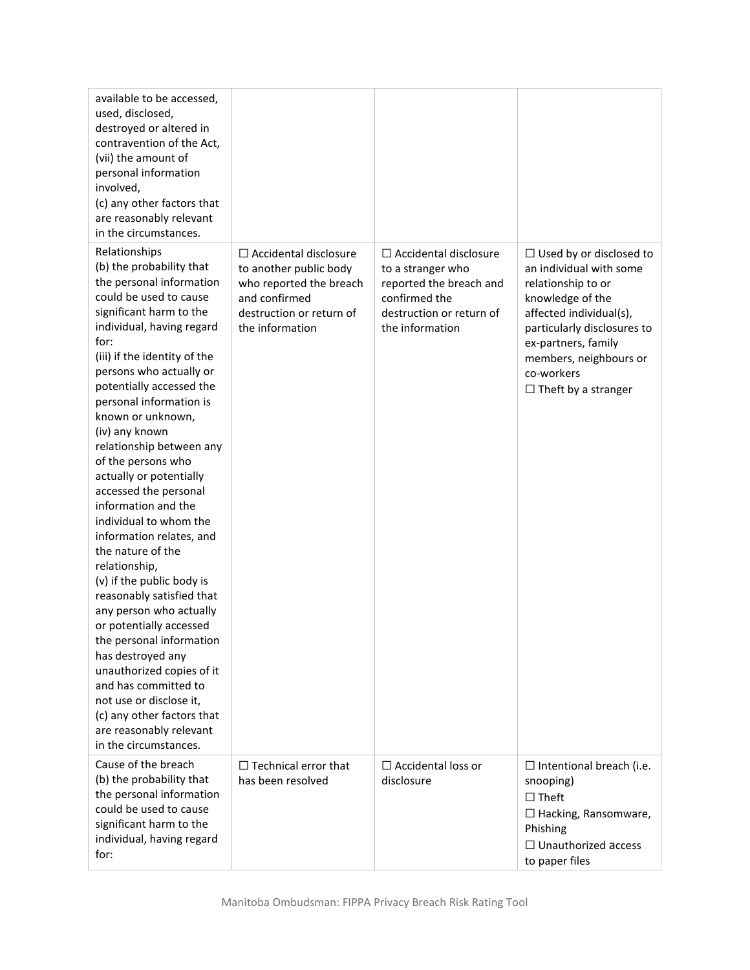| available to be accessed,<br>used, disclosed,<br>destroyed or altered in<br>contravention of the Act,<br>(vii) the amount of<br>personal information<br>involved,<br>(c) any other factors that<br>are reasonably relevant<br>in the circumstances.                                                                                                                                                                                                                                                                                                                                                                                                                                                                                                                                                                                                                                  |                                                                                                                                                   |                                                                                                                                              |                                                                                                                                                                                                                                                            |
|--------------------------------------------------------------------------------------------------------------------------------------------------------------------------------------------------------------------------------------------------------------------------------------------------------------------------------------------------------------------------------------------------------------------------------------------------------------------------------------------------------------------------------------------------------------------------------------------------------------------------------------------------------------------------------------------------------------------------------------------------------------------------------------------------------------------------------------------------------------------------------------|---------------------------------------------------------------------------------------------------------------------------------------------------|----------------------------------------------------------------------------------------------------------------------------------------------|------------------------------------------------------------------------------------------------------------------------------------------------------------------------------------------------------------------------------------------------------------|
| Relationships<br>(b) the probability that<br>the personal information<br>could be used to cause<br>significant harm to the<br>individual, having regard<br>for:<br>(iii) if the identity of the<br>persons who actually or<br>potentially accessed the<br>personal information is<br>known or unknown,<br>(iv) any known<br>relationship between any<br>of the persons who<br>actually or potentially<br>accessed the personal<br>information and the<br>individual to whom the<br>information relates, and<br>the nature of the<br>relationship,<br>(v) if the public body is<br>reasonably satisfied that<br>any person who actually<br>or potentially accessed<br>the personal information<br>has destroyed any<br>unauthorized copies of it<br>and has committed to<br>not use or disclose it,<br>(c) any other factors that<br>are reasonably relevant<br>in the circumstances. | $\Box$ Accidental disclosure<br>to another public body<br>who reported the breach<br>and confirmed<br>destruction or return of<br>the information | $\Box$ Accidental disclosure<br>to a stranger who<br>reported the breach and<br>confirmed the<br>destruction or return of<br>the information | $\Box$ Used by or disclosed to<br>an individual with some<br>relationship to or<br>knowledge of the<br>affected individual(s),<br>particularly disclosures to<br>ex-partners, family<br>members, neighbours or<br>co-workers<br>$\Box$ Theft by a stranger |
| Cause of the breach<br>(b) the probability that<br>the personal information<br>could be used to cause<br>significant harm to the<br>individual, having regard<br>for:                                                                                                                                                                                                                                                                                                                                                                                                                                                                                                                                                                                                                                                                                                                | $\Box$ Technical error that<br>has been resolved                                                                                                  | $\Box$ Accidental loss or<br>disclosure                                                                                                      | $\Box$ Intentional breach (i.e.<br>snooping)<br>$\Box$ Theft<br>$\Box$ Hacking, Ransomware,<br>Phishing<br>$\Box$ Unauthorized access<br>to paper files                                                                                                    |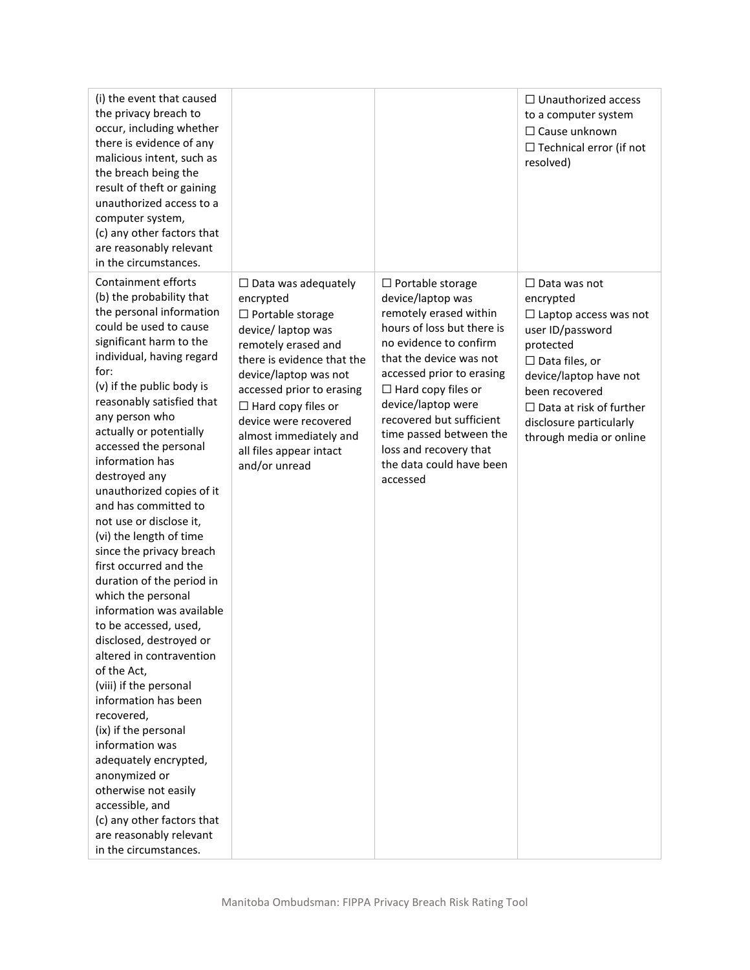| (i) the event that caused<br>the privacy breach to<br>occur, including whether<br>there is evidence of any<br>malicious intent, such as<br>the breach being the<br>result of theft or gaining<br>unauthorized access to a<br>computer system,<br>(c) any other factors that<br>are reasonably relevant<br>in the circumstances.                                                                                                                                                                                                                                                                                                                                                                                                                                                                                                                                                                                                                                             |                                                                                                                                                                                                                                                                                                                                 |                                                                                                                                                                                                                                                                                                                                                                    | $\Box$ Unauthorized access<br>to a computer system<br>$\Box$ Cause unknown<br>$\Box$ Technical error (if not<br>resolved)                                                                                                                                      |
|-----------------------------------------------------------------------------------------------------------------------------------------------------------------------------------------------------------------------------------------------------------------------------------------------------------------------------------------------------------------------------------------------------------------------------------------------------------------------------------------------------------------------------------------------------------------------------------------------------------------------------------------------------------------------------------------------------------------------------------------------------------------------------------------------------------------------------------------------------------------------------------------------------------------------------------------------------------------------------|---------------------------------------------------------------------------------------------------------------------------------------------------------------------------------------------------------------------------------------------------------------------------------------------------------------------------------|--------------------------------------------------------------------------------------------------------------------------------------------------------------------------------------------------------------------------------------------------------------------------------------------------------------------------------------------------------------------|----------------------------------------------------------------------------------------------------------------------------------------------------------------------------------------------------------------------------------------------------------------|
| Containment efforts<br>(b) the probability that<br>the personal information<br>could be used to cause<br>significant harm to the<br>individual, having regard<br>for:<br>(v) if the public body is<br>reasonably satisfied that<br>any person who<br>actually or potentially<br>accessed the personal<br>information has<br>destroyed any<br>unauthorized copies of it<br>and has committed to<br>not use or disclose it,<br>(vi) the length of time<br>since the privacy breach<br>first occurred and the<br>duration of the period in<br>which the personal<br>information was available<br>to be accessed, used,<br>disclosed, destroyed or<br>altered in contravention<br>of the Act,<br>(viii) if the personal<br>information has been<br>recovered,<br>(ix) if the personal<br>information was<br>adequately encrypted,<br>anonymized or<br>otherwise not easily<br>accessible, and<br>(c) any other factors that<br>are reasonably relevant<br>in the circumstances. | $\Box$ Data was adequately<br>encrypted<br>$\Box$ Portable storage<br>device/ laptop was<br>remotely erased and<br>there is evidence that the<br>device/laptop was not<br>accessed prior to erasing<br>$\Box$ Hard copy files or<br>device were recovered<br>almost immediately and<br>all files appear intact<br>and/or unread | $\Box$ Portable storage<br>device/laptop was<br>remotely erased within<br>hours of loss but there is<br>no evidence to confirm<br>that the device was not<br>accessed prior to erasing<br>$\Box$ Hard copy files or<br>device/laptop were<br>recovered but sufficient<br>time passed between the<br>loss and recovery that<br>the data could have been<br>accessed | $\Box$ Data was not<br>encrypted<br>$\Box$ Laptop access was not<br>user ID/password<br>protected<br>$\Box$ Data files, or<br>device/laptop have not<br>been recovered<br>$\Box$ Data at risk of further<br>disclosure particularly<br>through media or online |